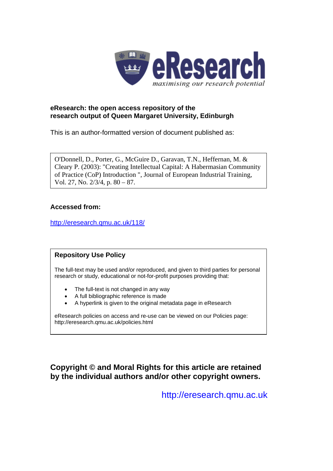

# **eResearch: the open access repository of the research output of Queen Margaret University, Edinburgh**

This is an author-formatted version of document published as:

O'Donnell, D., Porter, G., McGuire D., Garavan, T.N., Heffernan, M. & Cleary P. (2003): "Creating Intellectual Capital: A Habermasian Community of Practice (CoP) Introduction ", Journal of European Industrial Training, Vol. 27, No. 2/3/4, p. 80 – 87.

# **Accessed from:**

<http://eresearch.qmu.ac.uk/118/>

# **Repository Use Policy**

The full-text may be used and/or reproduced, and given to third parties for personal research or study, educational or not-for-profit purposes providing that:

- The full-text is not changed in any way
- A full bibliographic reference is made
- A hyperlink is given to the original metadata page in eResearch

eResearch policies on access and re-use can be viewed on our Policies page: <http://eresearch.qmu.ac.uk/policies.html>

# **Copyright © and Moral Rights for this article are retained by the individual authors and/or other copyright owners.**

[http://eresearch.qmu.ac.uk](http://eresearch.qmu.ac.uk/)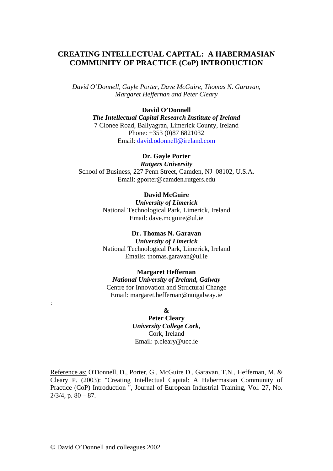# **CREATING INTELLECTUAL CAPITAL: A HABERMASIAN COMMUNITY OF PRACTICE (CoP) INTRODUCTION**

*David O'Donnell, Gayle Porter, Dave McGuire, Thomas N. Garavan, Margaret Heffernan and Peter Cleary* 

### **David O'Donnell**

*The Intellectual Capital Research Institute of Ireland*  7 Clonee Road, Ballyagran, Limerick County, Ireland Phone: +353 (0)87 6821032 Email: [david.odonnell@ireland.com](mailto:david.odonnell@ireland.com)

# **Dr. Gayle Porter**

*Rutgers University*  School of Business, 227 Penn Street, Camden, NJ 08102, U.S.A. Email: gporter@camden.rutgers.edu

### **David McGuire**

*University of Limerick*  National Technological Park, Limerick, Ireland Email: dave.mcguire@ul.ie

**Dr. Thomas N. Garavan**  *University of Limerick*  National Technological Park, Limerick, Ireland Emails: thomas.garavan@ul.ie

#### **Margaret Heffernan**

*National University of Ireland, Galway*  Centre for Innovation and Structural Change Email: margaret.heffernan@nuigalway.ie

**&** 

**Peter Cleary**  *University College Cork,*  Cork, Ireland Email: p.cleary@ucc.ie

Reference as: O'Donnell, D., Porter, G., McGuire D., Garavan, T.N., Heffernan, M. & Cleary P. (2003): "Creating Intellectual Capital: A Habermasian Community of Practice (CoP) Introduction ", Journal of European Industrial Training, Vol. 27, No.  $2/3/4$ , p. 80 – 87.

: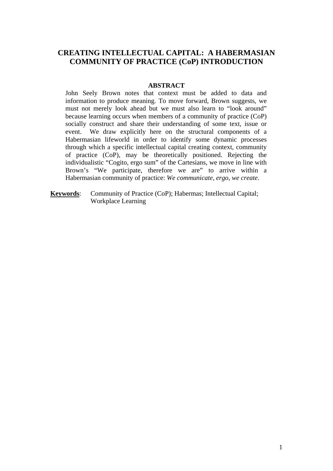# **CREATING INTELLECTUAL CAPITAL: A HABERMASIAN COMMUNITY OF PRACTICE (CoP) INTRODUCTION**

### **ABSTRACT**

John Seely Brown notes that context must be added to data and information to produce meaning. To move forward, Brown suggests, we must not merely look ahead but we must also learn to "look around" because learning occurs when members of a community of practice (CoP) socially construct and share their understanding of some text, issue or event. We draw explicitly here on the structural components of a Habermasian lifeworld in order to identify some dynamic processes through which a specific intellectual capital creating context, community of practice (CoP), may be theoretically positioned. Rejecting the individualistic "Cogito, ergo sum" of the Cartesians, we move in line with Brown's "We participate, therefore we are" to arrive within a Habermasian community of practice: *We communicate, ergo, we create*.

**Keywords**: Community of Practice (CoP); Habermas; Intellectual Capital; Workplace Learning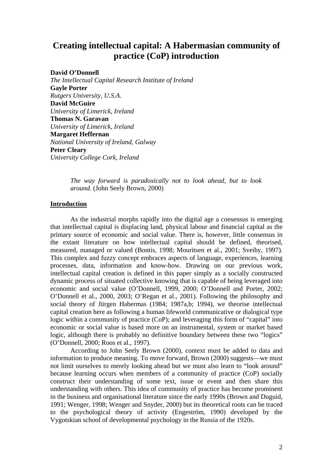# **Creating intellectual capital: A Habermasian community of practice (CoP) introduction**

**David O'Donnell** 

*The Intellectual Capital Research Institute of Ireland*  **Gayle Porter**  *Rutgers University, U.S.A.*  **David McGuire**  *University of Limerick, Ireland*  **Thomas N. Garavan**  *University of Limerick, Ireland*  **Margaret Heffernan**  *National University of Ireland, Galway*  **Peter Cleary**  *University College Cork, Ireland* 

> *The way forward is paradoxically not to look ahead, but to look around.* (John Seely Brown, 2000)

### **Introduction**

As the industrial morphs rapidly into the digital age a consensus is emerging that intellectual capital is displacing land, physical labour and financial capital as the primary source of economic and social value. There is, however, little consensus in the extant literature on how intellectual capital should be defined, theorised, measured, managed or valued (Bontis, 1998; Mouritsen et al., 2001; Sveiby, 1997). This complex and fuzzy concept embraces aspects of language, experiences, learning processes, data, information and know-how. Drawing on our previous work, intellectual capital creation is defined in this paper simply as a socially constructed dynamic process of situated collective knowing that is capable of being leveraged into economic and social value (O'Donnell, 1999, 2000; O'Donnell and Porter, 2002; O'Donnell et al., 2000, 2003; O'Regan et al., 2001). Following the philosophy and social theory of Jürgen Habermas (1984; 1987a,b; 1994), we theorise intellectual capital creation here as following a human lifeworld communicative or dialogical type logic within a community of practice (CoP); and leveraging this form of "capital" into economic or social value is based more on an instrumental, system or market based logic, although there is probably no definitive boundary between these two "logics" (O'Donnell, 2000; Roos et al., 1997).

According to John Seely Brown (2000), context must be added to data and information to produce meaning. To move forward, Brown (2000) suggests—we must not limit ourselves to merely looking ahead but we must also learn to "look around" because learning occurs when members of a community of practice (CoP) socially construct their understanding of some text, issue or event and then share this understanding with others. This idea of community of practice has become prominent in the business and organisational literature since the early 1990s (Brown and Duguid, 1991; Wenger, 1998; Wenger and Snyder, 2000) but its theoretical roots can be traced to the psychological theory of activity (Engeström, 1990) developed by the Vygotskian school of developmental psychology in the Russia of the 1920s.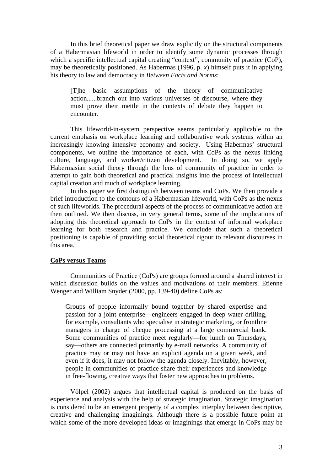In this brief theoretical paper we draw explicitly on the structural components of a Habermasian lifeworld in order to identify some dynamic processes through which a specific intellectual capital creating "context", community of practice (CoP), may be theoretically positioned. As Habermas (1996, p. *x*) himself puts it in applying his theory to law and democracy in *Between Facts and Norms*:

[T]he basic assumptions of the theory of communicative action......branch out into various universes of discourse, where they must prove their mettle in the contexts of debate they happen to encounter.

This lifeworld-in-system perspective seems particularly applicable to the current emphasis on workplace learning and collaborative work systems within an increasingly knowing intensive economy and society. Using Habermas' structural components, we outline the importance of each, with CoPs as the nexus linking culture, language, and worker/citizen development. In doing so, we apply Habermasian social theory through the lens of community of practice in order to attempt to gain both theoretical and practical insights into the process of intellectual capital creation and much of workplace learning.

In this paper we first distinguish between teams and CoPs. We then provide a brief introduction to the contours of a Habermasian lifeworld, with CoPs as the nexus of such lifeworlds. The procedural aspects of the process of communicative action are then outlined. We then discuss, in very general terms, some of the implications of adopting this theoretical approach to CoPs in the context of informal workplace learning for both research and practice. We conclude that such a theoretical positioning is capable of providing social theoretical rigour to relevant discourses in this area.

#### **CoPs versus Teams**

Communities of Practice (CoPs) are groups formed around a shared interest in which discussion builds on the values and motivations of their members. Etienne Wenger and William Snyder (2000, pp. 139-40) define CoPs as:

Groups of people informally bound together by shared expertise and passion for a joint enterprise—engineers engaged in deep water drilling, for example, consultants who specialise in strategic marketing, or frontline managers in charge of cheque processing at a large commercial bank. Some communities of practice meet regularly—for lunch on Thursdays, say—others are connected primarily by e-mail networks. A community of practice may or may not have an explicit agenda on a given week, and even if it does, it may not follow the agenda closely. Inevitably, however, people in communities of practice share their experiences and knowledge in free-flowing, creative ways that foster new approaches to problems.

Völpel (2002) argues that intellectual capital is produced on the basis of experience and analysis with the help of strategic imagination. Strategic imagination is considered to be an emergent property of a complex interplay between descriptive, creative and challenging imaginings. Although there is a possible future point at which some of the more developed ideas or imaginings that emerge in CoPs may be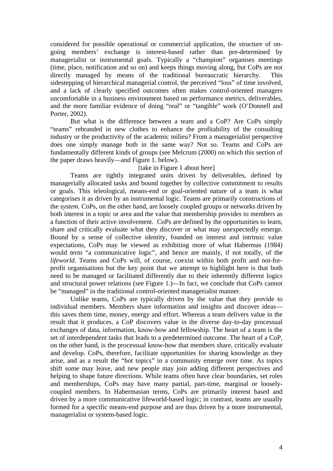considered for possible operational or commercial application, the structure of ongoing members' exchange is interest-based rather than pre-determined by managerialist or instrumental goals. Typically a "champion" organises meetings (time, place, notification and so on) and keeps things moving along, but CoPs are not directly managed by means of the traditional bureaucratic hierarchy. This sidestepping of hierarchical managerial control, the perceived "loss" of time involved, and a lack of clearly specified outcomes often makes control-oriented managers uncomfortable in a business environment based on performance metrics, deliverables, and the more familiar evidence of doing "real" or "tangible" work (O'Donnell and Porter, 2002).

But what is the difference between a team and a CoP? Are CoPs simply "teams" rebranded in new clothes to enhance the profitability of the consulting industry or the productivity of the academic milieu? From a managerialist perspective does one simply manage both in the same way? Not so. Teams and CoPs are fundamentally different kinds of groups (see Melcrum (2000) on which this section of the paper draws heavily—and Figure 1. below).

### [take in Figure 1 about here]

Teams are tightly integrated units driven by deliverables, defined by managerially allocated tasks and bound together by collective commitment to results or goals. This teleological, means-end or goal-oriented nature of a team is what categorises it as driven by an instrumental logic. Teams are primarily constructions of the *system*. CoPs, on the other hand, are loosely coupled groups or networks driven by both interest in a topic or area and the value that membership provides to members as a function of their active involvement. CoPs are defined by the opportunities to learn, share and critically evaluate what they discover or what may unexpectedly emerge. Bound by a sense of collective identity, founded on interest and intrinsic value expectations, CoPs may be viewed as exhibiting more of what Habermas (1984) would term "a communicative logic", and hence are mainly, if not totally, of the *lifeworld*. Teams and CoPs will, of course, coexist within both profit and not-forprofit organisations but the key point that we attempt to highlight here is that both need to be managed or facilitated differently due to their inherently different logics and structural power relations (see Figure 1.)—In fact, we conclude that CoPs cannot be "managed" in the traditional control-oriented managerialist manner.

Unlike teams, CoPs are typically driven by the value that they provide to individual members. Members share information and insights and discover ideas this saves them time, money, energy and effort. Whereas a team delivers value in the result that it produces, a CoP discovers value in the diverse day-to-day processual exchanges of data, information, know-how and fellowship. The heart of a team is the set of interdependent tasks that leads to a predetermined outcome. The heart of a CoP, on the other hand, is the processual know-how that members share, critically evaluate and develop. CoPs, therefore, facilitate opportunities for sharing knowledge as they arise, and as a result the "hot topics" in a community emerge over time. As topics shift some may leave, and new people may join adding different perspectives and helping to shape future directions. While teams often have clear boundaries, set roles and memberships, CoPs may have many partial, part-time, marginal or looselycoupled members. In Habermasian terms, CoPs are primarily interest based and driven by a more communicative lifeworld-based logic; in contrast, teams are usually formed for a specific means-end purpose and are thus driven by a more instrumental, managerialist or system-based logic.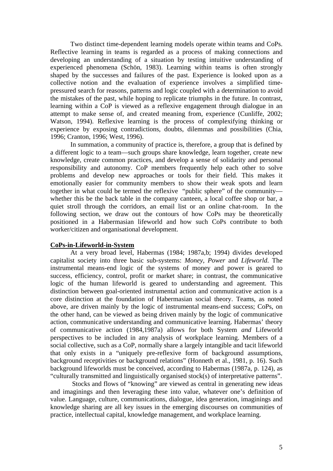Two distinct time-dependent learning models operate within teams and CoPs. Reflective learning in teams is regarded as a process of making connections and developing an understanding of a situation by testing intuitive understanding of experienced phenomena (Schön, 1983). Learning within teams is often strongly shaped by the successes and failures of the past. Experience is looked upon as a collective notion and the evaluation of experience involves a simplified timepressured search for reasons, patterns and logic coupled with a determination to avoid the mistakes of the past, while hoping to replicate triumphs in the future. In contrast, learning within a CoP is viewed as a reflexive engagement through dialogue in an attempt to make sense of, and created meaning from, experience (Cunliffe, 2002; Watson, 1994). Reflexive learning is the process of complexifying thinking or experience by exposing contradictions, doubts, dilemmas and possibilities (Chia, 1996; Cranton, 1996; West, 1996).

In summation, a community of practice is, therefore, a group that is defined by a different logic to a team—such groups share knowledge, learn together, create new knowledge, create common practices, and develop a sense of solidarity and personal responsibility and autonomy. CoP members frequently help each other to solve problems and develop new approaches or tools for their field. This makes it emotionally easier for community members to show their weak spots and learn together in what could be termed the reflexive "public sphere" of the community whether this be the back table in the company canteen, a local coffee shop or bar, a quiet stroll through the corridors, an email list or an online chat-room. In the following section, we draw out the contours of how CoPs may be theoretically positioned in a Habermasian lifeworld and how such CoPs contribute to both worker/citizen and organisational development.

## **CoPs-in-Lifeworld-in-System**

At a very broad level, Habermas (1984; 1987a,b; 1994) divides developed capitalist society into three basic sub-systems: *Money*, *Power* and *Lifeworld*. The instrumental means-end logic of the systems of money and power is geared to success, efficiency, control, profit or market share; in contrast, the communicative logic of the human lifeworld is geared to understanding and agreement. This distinction between goal-oriented instrumental action and communicative action is a core distinction at the foundation of Habermasian social theory. Teams, as noted above, are driven mainly by the logic of instrumental means-end success; CoPs, on the other hand, can be viewed as being driven mainly by the logic of communicative action, communicative understanding and communicative learning. Habermas' theory of communicative action (1984,1987a) allows for both System *and* Lifeworld perspectives to be included in any analysis of workplace learning. Members of a social collective, such as a CoP, normally share a largely intangible and tacit lifeworld that only exists in a "uniquely pre-reflexive form of background assumptions, background receptivities or background relations" (Honneth et al., 1981, p. 16). Such background lifeworlds must be conceived, according to Habermas (1987a, p. 124), as "culturally transmitted and linguistically organised stock(s) of interpretative patterns".

 Stocks and flows of "knowing" are viewed as central in generating new ideas and imaginings and then leveraging these into value, whatever one's definition of value. Language, culture, communications, dialogue, idea generation, imaginings and knowledge sharing are all key issues in the emerging discourses on communities of practice, intellectual capital, knowledge management, and workplace learning.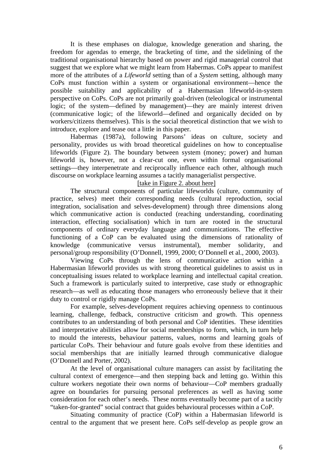It is these emphases on dialogue, knowledge generation and sharing, the freedom for agendas to emerge, the bracketing of time, and the sidelining of the traditional organisational hierarchy based on power and rigid managerial control that suggest that we explore what we might learn from Habermas. CoPs appear to manifest more of the attributes of a *Lifeworld* setting than of a *System* setting, although many CoPs must function within a system or organisational environment—hence the possible suitability and applicability of a Habermasian lifeworld-in-system perspective on CoPs. CoPs are not primarily goal-driven (teleological or instrumental logic; of the system—defined by management)—they are mainly interest driven (communicative logic; of the lifeworld—defined and organically decided on by workers/citizens themselves). This is the social theoretical distinction that we wish to introduce, explore and tease out a little in this paper.

Habermas (1987a), following Parsons' ideas on culture, society and personality, provides us with broad theoretical guidelines on how to conceptualise lifeworlds (Figure 2). The boundary between system (money; power) and human lifeworld is, however, not a clear-cut one, even within formal organisational settings—they interpenetrate and reciprocally influence each other, although much discourse on workplace learning assumes a tacitly managerialist perspective.

# [take in Figure 2. about here]

The structural components of particular lifeworlds (culture, community of practice, selves) meet their corresponding needs (cultural reproduction, social integration, socialisation and selves-development) through three dimensions along which communicative action is conducted (reaching understanding, coordinating interaction, effecting socialisation) which in turn are rooted in the structural components of ordinary everyday language and communications. The effective functioning of a CoP can be evaluated using the dimensions of rationality of knowledge (communicative versus instrumental), member solidarity, and personal/group responsibility (O'Donnell, 1999, 2000; O'Donnell et al., 2000, 2003).

Viewing CoPs through the lens of communicative action within a Habermasian lifeworld provides us with strong theoretical guidelines to assist us in conceptualising issues related to workplace learning and intellectual capital creation. Such a framework is particularly suited to interpretive, case study or ethnographic research—as well as educating those managers who erroneously believe that it their duty to control or rigidly manage CoPs.

For example, selves-development requires achieving openness to continuous learning, challenge, fedback, constructive criticism and growth. This openness contributes to an understanding of both personal and CoP identities. These identities and interpretative abilities allow for social memberships to form, which, in turn help to mould the interests, behaviour patterns, values, norms and learning goals of particular CoPs. Their behaviour and future goals evolve from these identities and social memberships that are initially learned through communicative dialogue (O'Donnell and Porter, 2002).

At the level of organisational culture managers can assist by facilitating the cultural context of emergence—and then stepping back and letting go. Within this culture workers negotiate their own norms of behaviour—CoP members gradually agree on boundaries for pursuing personal preferences as well as having some consideration for each other's needs. These norms eventually become part of a tacitly "taken-for-granted" social contract that guides behavioural processes within a CoP.

Situating community of practice (CoP) within a Habermasian lifeworld is central to the argument that we present here. CoPs self-develop as people grow an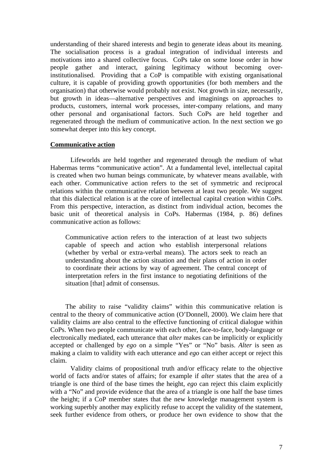understanding of their shared interests and begin to generate ideas about its meaning. The socialisation process is a gradual integration of individual interests and motivations into a shared collective focus. CoPs take on some loose order in how people gather and interact, gaining legitimacy without becoming overinstitutionalised. Providing that a CoP is compatible with existing organisational culture, it is capable of providing growth opportunities (for both members and the organisation) that otherwise would probably not exist. Not growth in size, necessarily, but growth in ideas—alternative perspectives and imaginings on approaches to products, customers, internal work processes, inter-company relations, and many other personal and organisational factors. Such CoPs are held together and regenerated through the medium of communicative action. In the next section we go somewhat deeper into this key concept.

### **Communicative action**

Lifeworlds are held together and regenerated through the medium of what Habermas terms "communicative action". At a fundamental level, intellectual capital is created when two human beings communicate, by whatever means available, with each other. Communicative action refers to the set of symmetric and reciprocal relations within the communicative relation between at least two people. We suggest that this dialectical relation is at the core of intellectual capital creation within CoPs. From this perspective, interaction, as distinct from individual action, becomes the basic unit of theoretical analysis in CoPs. Habermas (1984, p. 86) defines communicative action as follows:

Communicative action refers to the interaction of at least two subjects capable of speech and action who establish interpersonal relations (whether by verbal or extra-verbal means). The actors seek to reach an understanding about the action situation and their plans of action in order to coordinate their actions by way of agreement. The central concept of interpretation refers in the first instance to negotiating definitions of the situation [that] admit of consensus.

The ability to raise "validity claims" within this communicative relation is central to the theory of communicative action (O'Donnell, 2000). We claim here that validity claims are also central to the effective functioning of critical dialogue within CoPs. When two people communicate with each other, face-to-face, body-language or electronically mediated, each utterance that *alter* makes can be implicitly or explicitly accepted or challenged by *ego* on a simple "Yes" or "No" basis. *Alter* is seen as making a claim to validity with each utterance and *ego* can either accept or reject this claim.

Validity claims of propositional truth and/or efficacy relate to the objective world of facts and/or states of affairs; for example if *alter* states that the area of a triangle is one third of the base times the height, *ego* can reject this claim explicitly with a "No" and provide evidence that the area of a triangle is one half the base times the height; if a CoP member states that the new knowledge management system is working superbly another may explicitly refuse to accept the validity of the statement, seek further evidence from others, or produce her own evidence to show that the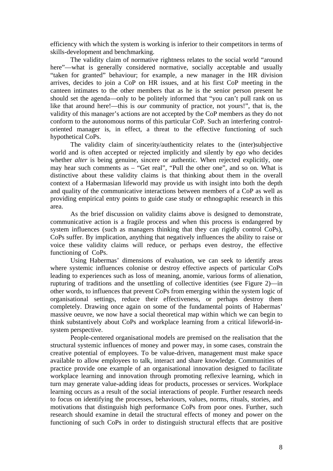efficiency with which the system is working is inferior to their competitors in terms of skills-development and benchmarking.

The validity claim of normative rightness relates to the social world "around here"—what is generally considered normative, socially acceptable and usually "taken for granted" behaviour; for example, a new manager in the HR division arrives, decides to join a CoP on HR issues, and at his first CoP meeting in the canteen intimates to the other members that as he is the senior person present he should set the agenda—only to be politely informed that "you can't pull rank on us like that around here!—this is *our* community of practice, not yours!", that is, the validity of this manager's actions are not accepted by the CoP members as they do not conform to the autonomous norms of this particular CoP. Such an interfering controloriented manager is, in effect, a threat to the effective functioning of such hypothetical CoPs.

The validity claim of sincerity/authenticity relates to the (inter)subjective world and is often accepted or rejected implicitly and silently by *ego* who decides whether *alter* is being genuine, sincere or authentic. When rejected explicitly, one may hear such comments as – "Get real", "Pull the other one", and so on. What is distinctive about these validity claims is that thinking about them in the overall context of a Habermasian lifeworld may provide us with insight into both the depth and quality of the communicative interactions between members of a CoP as well as providing empirical entry points to guide case study or ethnographic research in this area.

As the brief discussion on validity claims above is designed to demonstrate, communicative action is a fragile process and when this process is endangered by system influences (such as managers thinking that they can rigidly control CoPs), CoPs suffer. By implication, anything that negatively influences the ability to raise or voice these validity claims will reduce, or perhaps even destroy, the effective functioning of CoPs.

Using Habermas' dimensions of evaluation, we can seek to identify areas where systemic influences colonise or destroy effective aspects of particular CoPs leading to experiences such as loss of meaning, anomie, various forms of alienation, rupturing of traditions and the unsettling of collective identities (see Figure 2)—in other words, to influences that prevent CoPs from emerging within the system logic of organisational settings, reduce their effectiveness, or perhaps destroy them completely. Drawing once again on some of the fundamental points of Habermas' massive oeuvre, we now have a social theoretical map within which we can begin to think substantively about CoPs and workplace learning from a critical lifeworld-insystem perspective.

People-centered organisational models are premised on the realisation that the structural systemic influences of money and power may, in some cases, constrain the creative potential of employees. To be value-driven, management must make space available to allow employees to talk, interact and share knowledge. Communities of practice provide one example of an organisational innovation designed to facilitate workplace learning and innovation through promoting reflexive learning, which in turn may generate value-adding ideas for products, processes or services. Workplace learning occurs as a result of the social interactions of people. Further research needs to focus on identifying the processes, behaviours, values, norms, rituals, stories, and motivations that distinguish high performance CoPs from poor ones. Further, such research should examine in detail the structural effects of money and power on the functioning of such CoPs in order to distinguish structural effects that are positive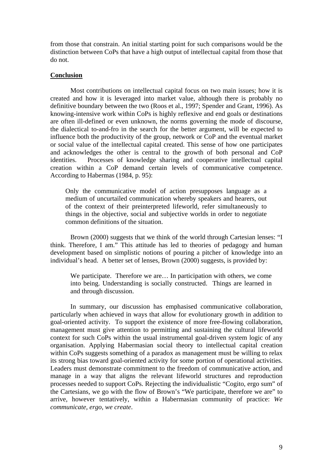from those that constrain. An initial starting point for such comparisons would be the distinction between CoPs that have a high output of intellectual capital from those that do not.

### **Conclusion**

Most contributions on intellectual capital focus on two main issues; how it is created and how it is leveraged into market value, although there is probably no definitive boundary between the two (Roos et al., 1997; Spender and Grant, 1996). As knowing-intensive work within CoPs is highly reflexive and end goals or destinations are often ill-defined or even unknown, the norms governing the mode of discourse, the dialectical to-and-fro in the search for the better argument, will be expected to influence both the productivity of the group, network or CoP and the eventual market or social value of the intellectual capital created. This sense of how one participates and acknowledges the other is central to the growth of both personal and CoP identities. Processes of knowledge sharing and cooperative intellectual capital creation within a CoP demand certain levels of communicative competence. According to Habermas (1984, p. 95):

Only the communicative model of action presupposes language as a medium of uncurtailed communication whereby speakers and hearers, out of the context of their preinterpreted lifeworld, refer simultaneously to things in the objective, social and subjective worlds in order to negotiate common definitions of the situation.

Brown (2000) suggests that we think of the world through Cartesian lenses: "I think. Therefore, I am." This attitude has led to theories of pedagogy and human development based on simplistic notions of pouring a pitcher of knowledge into an individual's head. A better set of lenses, Brown (2000) suggests, is provided by:

We participate. Therefore we are… In participation with others, we come into being. Understanding is socially constructed. Things are learned in and through discussion.

In summary, our discussion has emphasised communicative collaboration, particularly when achieved in ways that allow for evolutionary growth in addition to goal-oriented activity. To support the existence of more free-flowing collaboration, management must give attention to permitting and sustaining the cultural lifeworld context for such CoPs within the usual instrumental goal-driven system logic of any organisation. Applying Habermasian social theory to intellectual capital creation within CoPs suggests something of a paradox as management must be willing to relax its strong bias toward goal-oriented activity for some portion of operational activities. Leaders must demonstrate commitment to the freedom of communicative action, and manage in a way that aligns the relevant lifeworld structures and reproduction processes needed to support CoPs. Rejecting the individualistic "Cogito, ergo sum" of the Cartesians, we go with the flow of Brown's "We participate, therefore we are" to arrive, however tentatively, within a Habermasian community of practice: *We communicate, ergo, we create*.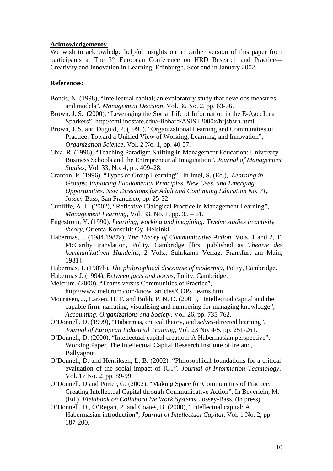# **Acknowledgements:**

We wish to acknowledge helpful insights on an earlier version of this paper from participants at The 3<sup>rd</sup> European Conference on HRD Research and Practice— Creativity and Innovation in Learning, Edinburgh, Scotland in January 2002.

## **References:**

- Bontis, N. (1998), "Intellectual capital; an exploratory study that develops measures and models", *Management Decision*, Vol. 36 No. 2, pp. 63-76.
- Brown, J. S. (2000), "Leveraging the Social Life of Information in the E-Age: Idea Sparkers", http://cml.indstate.edu/~libhard/ASIST2000x/brjsbsrh.html
- Brown, J. S. and Duguid, P. (1991), "Organizational Learning and Communities of Practice: Toward a Unified View of Working, Learning, and Innovation", *Organization Science*, Vol. 2 No. 1, pp. 40-57.
- Chia, R. (1996), "Teaching Paradigm Shifting in Management Education: University Business Schools and the Entrepreneurial Imagination", *Journal of Management Studies,* Vol. 33, No. 4, pp. 409–28.
- Cranton, P. (1996), "Types of Group Learning", In Imel, S. (Ed.), *Learning in Groups: Exploring Fundamental Principles, New Uses, and Emerging Opportunities. New Directions for Adult and Continuing Education No. 71***,** Jossey-Bass, San Francisco, pp. 25-32.
- Cunliffe, A. L. (2002), "Reflexive Dialogical Practice in Management Learning", *Management Learning*, Vol. 33, No. 1, pp. 35 – 61.
- Engeström, Y. (1990), *Learning, working and imagining: Twelve studies in activity theory*, Orienta-Konsultit Oy, Helsinki.
- Habermas, J. (1984,1987a), *The Theory of Communicative Action*. Vols. 1 and 2, T. McCarthy translation, Polity, Cambridge [first published as *Theorie des kommunikativen Handelns*, 2 Vols., Suhrkamp Verlag, Frankfurt am Main, 1981].
- Habermas, J. (1987b), *The philosophical discourse of modernity*, Polity, Cambridge.
- Habermas J. (1994), *Between facts and norms*, Polity, Cambridge.
- Melcrum. (2000), "Teams versus Communities of Practice",
- http://www.melcrum.com/know\_articles/COPs\_teams.htm
- Mouritsen, J., Larsen, H. T. and Bukh, P. N. D. (2001), "Intellectual capital and the capable firm: narrating, visualising and numbering for managing knowledge", *Accounting, Organizations and Society*, Vol. 26, pp. 735-762.
- O'Donnell, D. (1999), "Habermas, critical theory, and *selves*-directed learning", *Journal of European Industrial Training*, Vol. 23 No. 4/5, pp. 251-261.
- O'Donnell, D. (2000), "Intellectual capital creation: A Habermasian perspective", Working Paper, The Intellectual Capital Research Institute of Ireland, Ballyagran.
- O'Donnell, D. and Henriksen, L. B. (2002), "Philosophical foundations for a critical evaluation of the social impact of ICT", *Journal of Information Technology*, Vol. 17 No. 2, pp. 89-99.
- O'Donnell, D and Porter, G. (2002), "Making Space for Communities of Practice: Creating Intellectual Capital through Communicative Action", In Beyerlein, M. (Ed.), *Fieldbook on Collaborative Work Systems*, Jossey-Bass, (in press)
- O'Donnell, D., O'Regan, P. and Coates, B. (2000), "Intellectual capital: A Habermasian introduction", *Journal of Intellectual Capital*, Vol. 1 No. 2, pp. 187-200.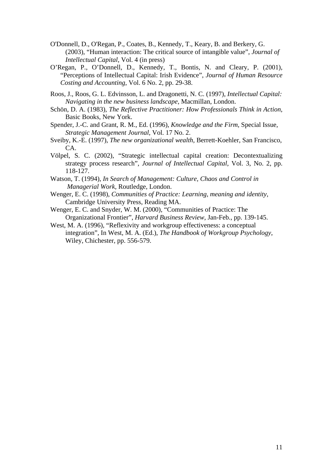- O'Donnell, D., O'Regan, P., Coates, B., Kennedy, T., Keary, B. and Berkery, G. (2003), "Human interaction: The critical source of intangible value", *Journal of Intellectual Capital*, Vol. 4 (in press)
- O'Regan, P., O'Donnell, D., Kennedy, T., Bontis, N. and Cleary, P. (2001), "Perceptions of Intellectual Capital: Irish Evidence", *Journal of Human Resource Costing and Accounting*, Vol. 6 No. 2, pp. 29-38.
- Roos, J., Roos, G. L. Edvinsson, L. and Dragonetti, N. C. (1997), *Intellectual Capital: Navigating in the new business landscape*, Macmillan, London.
- Schön, D. A. (1983), *The Reflective Practitioner: How Professionals Think in Action*, Basic Books, New York.
- Spender, J.-C. and Grant, R. M., Ed. (1996), *Knowledge and the Firm*, Special Issue, *Strategic Management Journal*, Vol. 17 No. 2.
- Sveiby, K.-E. (1997), *The new organizational wealth*, Berrett-Koehler, San Francisco, CA.
- Völpel, S. C. (2002), "Strategic intellectual capital creation: Decontextualizing strategy process research", *Journal of Intellectual Capital*, Vol. 3, No. 2, pp. 118-127.
- Watson, T. (1994), *In Search of Management: Culture, Chaos and Control in Managerial Work,* Routledge, London.
- Wenger, E. C. (1998), *Communities of Practice: Learning, meaning and identity*, Cambridge University Press, Reading MA.
- Wenger, E. C. and Snyder, W. M. (2000), "Communities of Practice: The Organizational Frontier", *Harvard Business Review*, Jan-Feb., pp. 139-145.
- West, M. A. (1996), "Reflexivity and workgroup effectiveness: a conceptual integration", In West, M. A. (Ed.), *The Handbook of Workgroup Psychology*, Wiley, Chichester, pp. 556-579.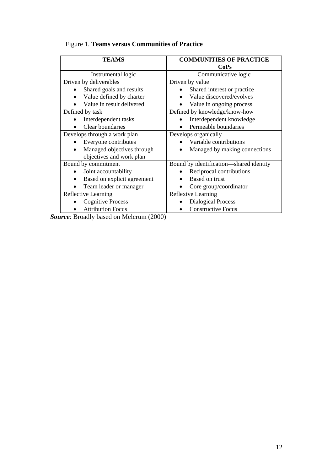| <b>TEAMS</b>                             | <b>COMMUNITIES OF PRACTICE</b>          |  |  |
|------------------------------------------|-----------------------------------------|--|--|
|                                          | CoPs                                    |  |  |
| Instrumental logic                       | Communicative logic                     |  |  |
| Driven by deliverables                   | Driven by value                         |  |  |
| Shared goals and results                 | Shared interest or practice             |  |  |
| Value defined by charter                 | Value discovered/evolves                |  |  |
| Value in result delivered                | Value in ongoing process                |  |  |
| Defined by task                          | Defined by knowledge/know-how           |  |  |
| Interdependent tasks                     | Interdependent knowledge                |  |  |
| Clear boundaries                         | Permeable boundaries                    |  |  |
| Develops through a work plan             | Develops organically                    |  |  |
| Everyone contributes                     | Variable contributions                  |  |  |
| Managed objectives through<br>$\bullet$  | Managed by making connections           |  |  |
| objectives and work plan                 |                                         |  |  |
| Bound by commitment                      | Bound by identification—shared identity |  |  |
| Joint accountability<br>$\bullet$        | Reciprocal contributions                |  |  |
| Based on explicit agreement<br>$\bullet$ | <b>Based on trust</b>                   |  |  |
| Team leader or manager                   | Core group/coordinator                  |  |  |
| Reflective Learning                      | Reflexive Learning                      |  |  |
| <b>Cognitive Process</b>                 | <b>Dialogical Process</b>               |  |  |
| <b>Attribution Focus</b>                 | <b>Constructive Focus</b>               |  |  |

Figure 1. **Teams versus Communities of Practice** 

*Source*: Broadly based on Melcrum (2000)